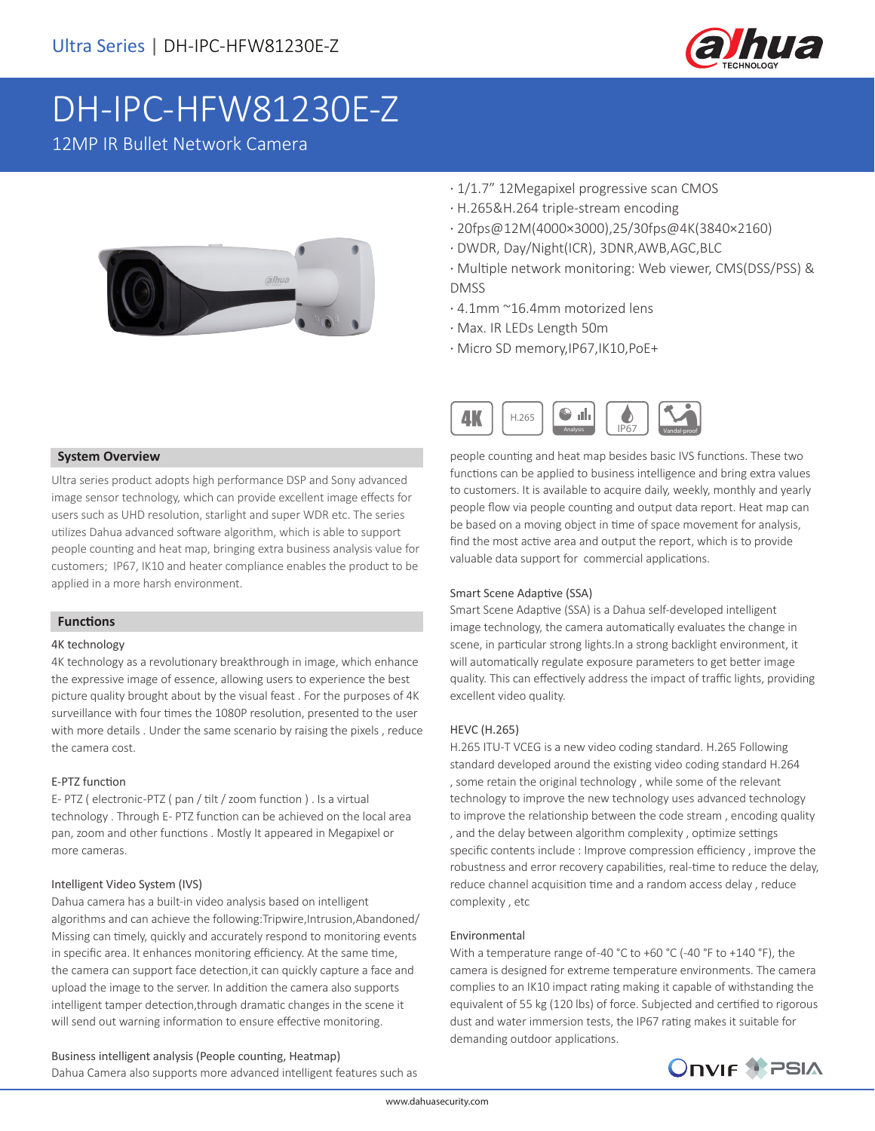

# DH-IPC-HFW81230E-Z

12MP IR Bullet Network Camera



- · 1/1.7" 12Megapixel progressive scan CMOS
- · H.265&H.264 triple-stream encoding
- · 20fps@12M(4000×3000),25/30fps@4K(3840×2160)
- · DWDR, Day/Night(ICR), 3DNR,AWB,AGC,BLC
- · Multiple network monitoring: Web viewer, CMS(DSS/PSS) & DMSS
- · 4.1mm ~16.4mm motorized lens
- · Max. IR LEDs Length 50m
- · Micro SD memory,IP67,IK10,PoE+



people counting and heat map besides basic IVS functions. These two functions can be applied to business intelligence and bring extra values to customers. It is available to acquire daily, weekly, monthly and yearly people flow via people counting and output data report. Heat map can be based on a moving object in time of space movement for analysis, find the most active area and output the report, which is to provide valuable data support for commercial applications.

#### Smart Scene Adaptive (SSA)

Smart Scene Adaptive (SSA) is a Dahua self-developed intelligent image technology, the camera automatically evaluates the change in scene, in particular strong lights.In a strong backlight environment, it will automatically regulate exposure parameters to get better image quality. This can effectively address the impact of traffic lights, providing excellent video quality.

#### HEVC (H.265)

H.265 ITU-T VCEG is a new video coding standard. H.265 Following standard developed around the existing video coding standard H.264 , some retain the original technology , while some of the relevant technology to improve the new technology uses advanced technology to improve the relationship between the code stream , encoding quality , and the delay between algorithm complexity , optimize settings specific contents include : Improve compression efficiency , improve the robustness and error recovery capabilities, real-time to reduce the delay, reduce channel acquisition time and a random access delay , reduce complexity , etc

#### Environmental

With a temperature range of-40 °C to +60 °C (-40 °F to +140 °F), the camera is designed for extreme temperature environments. The camera complies to an IK10 impact rating making it capable of withstanding the equivalent of 55 kg (120 lbs) of force. Subjected and certified to rigorous dust and water immersion tests, the IP67 rating makes it suitable for demanding outdoor applications.

## **ONVIF SPSIA**

#### **System Overview**

Ultra series product adopts high performance DSP and Sony advanced image sensor technology, which can provide excellent image effects for users such as UHD resolution, starlight and super WDR etc. The series utilizes Dahua advanced software algorithm, which is able to support people counting and heat map, bringing extra business analysis value for customers; IP67, IK10 and heater compliance enables the product to be applied in a more harsh environment.

#### **Functions**

#### 4K technology

4K technology as a revolutionary breakthrough in image, which enhance the expressive image of essence, allowing users to experience the best picture quality brought about by the visual feast . For the purposes of 4K surveillance with four times the 1080P resolution, presented to the user with more details . Under the same scenario by raising the pixels , reduce the camera cost.

#### E-PTZ function

E- PTZ ( electronic -PTZ ( pan / tilt / zoom function ) . Is a virtual technology . Through E- PTZ function can be achieved on the local area pan, zoom and other functions . Mostly It appeared in Megapixel or more cameras.

#### Intelligent Video System (IVS)

Dahua camera has a built-in video analysis based on intelligent algorithms and can achieve the following:Tripwire,Intrusion,Abandoned/ Missing can timely, quickly and accurately respond to monitoring events in specific area. It enhances monitoring efficiency. At the same time, the camera can support face detection,it can quickly capture a face and upload the image to the server. In addition the camera also supports intelligent tamper detection,through dramatic changes in the scene it will send out warning information to ensure effective monitoring.

Business intelligent analysis (People counting, Heatmap) Dahua Camera also supports more advanced intelligent features such as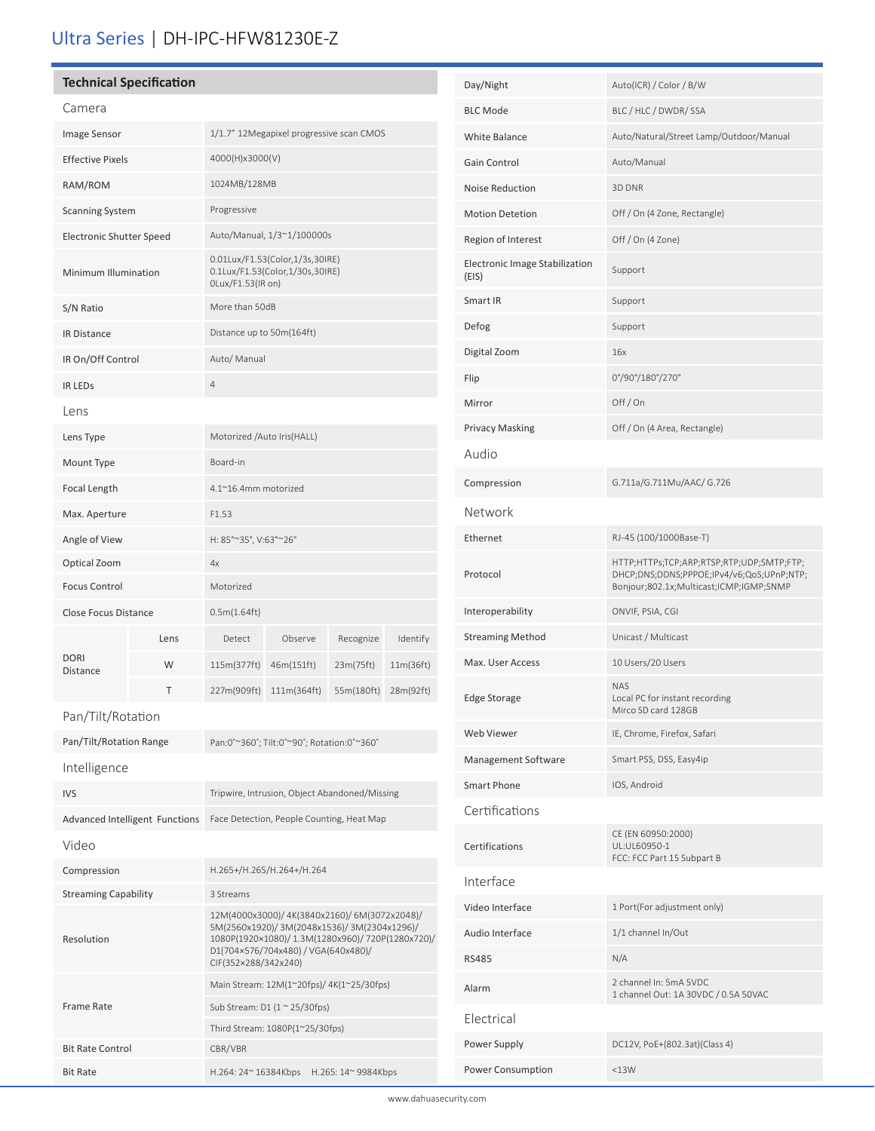### Ultra Series | DH-IPC-HFW81230E-Z

#### **Technical Specification**

i

| Camera                         |                                       |                                                                                                                                                                                                                 |             |                     |           |
|--------------------------------|---------------------------------------|-----------------------------------------------------------------------------------------------------------------------------------------------------------------------------------------------------------------|-------------|---------------------|-----------|
| Image Sensor                   |                                       | 1/1.7" 12Megapixel progressive scan CMOS                                                                                                                                                                        |             |                     |           |
| <b>Effective Pixels</b>        |                                       | 4000(H)x3000(V)                                                                                                                                                                                                 |             |                     |           |
| RAM/ROM                        |                                       | 1024MB/128MB                                                                                                                                                                                                    |             |                     |           |
| <b>Scanning System</b>         |                                       | Progressive                                                                                                                                                                                                     |             |                     |           |
| Electronic Shutter Speed       |                                       | Auto/Manual, 1/3~1/100000s                                                                                                                                                                                      |             |                     |           |
| Minimum Illumination           |                                       | 0.01Lux/F1.53(Color,1/3s,30IRE)<br>0.1Lux/F1.53(Color,1/30s,30IRE)<br>OLux/F1.53(IR on)                                                                                                                         |             |                     |           |
| S/N Ratio                      |                                       | More than 50dB                                                                                                                                                                                                  |             |                     |           |
| <b>IR Distance</b>             |                                       | Distance up to 50m(164ft)                                                                                                                                                                                       |             |                     |           |
| IR On/Off Control              |                                       | Auto/ Manual                                                                                                                                                                                                    |             |                     |           |
| <b>IR LEDS</b>                 |                                       | $\overline{4}$                                                                                                                                                                                                  |             |                     |           |
| Lens                           |                                       |                                                                                                                                                                                                                 |             |                     |           |
| Lens Type                      |                                       | Motorized /Auto Iris(HALL)                                                                                                                                                                                      |             |                     |           |
| Mount Type                     |                                       | Board-in                                                                                                                                                                                                        |             |                     |           |
| Focal Length                   |                                       | 4.1~16.4mm motorized                                                                                                                                                                                            |             |                     |           |
| Max. Aperture                  |                                       | F1.53                                                                                                                                                                                                           |             |                     |           |
| Angle of View                  |                                       | H: 85°~35°, V:63°~26°                                                                                                                                                                                           |             |                     |           |
| Optical Zoom                   |                                       | 4x                                                                                                                                                                                                              |             |                     |           |
| <b>Focus Control</b>           |                                       | Motorized                                                                                                                                                                                                       |             |                     |           |
| <b>Close Focus Distance</b>    |                                       | 0.5m(1.64ft)                                                                                                                                                                                                    |             |                     |           |
|                                | Lens                                  | Detect                                                                                                                                                                                                          | Observe     | Recognize           | Identify  |
| <b>DORI</b><br><b>Distance</b> | W                                     | 115m(377ft)                                                                                                                                                                                                     | 46m(151ft)  | 23m(75ft)           | 11m(36ft) |
|                                | т                                     | 227m(909ft)                                                                                                                                                                                                     | 111m(364ft) | 55m(180ft)          | 28m(92ft) |
| Pan/Tilt/Rotation              |                                       |                                                                                                                                                                                                                 |             |                     |           |
| Pan/Tilt/Rotation Range        |                                       | Pan:0°~360°; Tilt:0°~90°; Rotation:0°~360°                                                                                                                                                                      |             |                     |           |
| Intelligence                   |                                       |                                                                                                                                                                                                                 |             |                     |           |
| <b>IVS</b>                     |                                       | Tripwire, Intrusion, Object Abandoned/Missing                                                                                                                                                                   |             |                     |           |
|                                | <b>Advanced Intelligent Functions</b> | Face Detection, People Counting, Heat Map                                                                                                                                                                       |             |                     |           |
| Video                          |                                       |                                                                                                                                                                                                                 |             |                     |           |
| Compression                    |                                       | H.265+/H.265/H.264+/H.264                                                                                                                                                                                       |             |                     |           |
| <b>Streaming Capability</b>    |                                       | 3 Streams                                                                                                                                                                                                       |             |                     |           |
| Resolution                     |                                       | 12M(4000x3000)/4K(3840x2160)/6M(3072x2048)/<br>5M(2560x1920)/ 3M(2048x1536)/ 3M(2304x1296)/<br>1080P(1920×1080)/ 1.3M(1280x960)/ 720P(1280x720)/<br>D1(704×576/704x480) / VGA(640x480)/<br>CIF(352×288/342x240) |             |                     |           |
|                                |                                       | Main Stream: 12M(1~20fps)/ 4K(1~25/30fps)                                                                                                                                                                       |             |                     |           |
| Frame Rate                     |                                       | Sub Stream: D1 $(1 \approx 25/30$ fps)                                                                                                                                                                          |             |                     |           |
|                                |                                       | Third Stream: 1080P(1~25/30fps)<br>CBR/VBR                                                                                                                                                                      |             |                     |           |
| <b>Bit Rate Control</b>        |                                       |                                                                                                                                                                                                                 |             |                     |           |
| <b>Bit Rate</b>                |                                       | H.264: 24~ 16384Kbps                                                                                                                                                                                            |             | H.265: 14~ 9984Kbps |           |

| Day/Night                               | Auto(ICR) / Color / B/W                                                                                                           |  |  |  |
|-----------------------------------------|-----------------------------------------------------------------------------------------------------------------------------------|--|--|--|
| <b>BLC Mode</b>                         | BLC / HLC / DWDR/ SSA                                                                                                             |  |  |  |
| White Balance                           | Auto/Natural/Street Lamp/Outdoor/Manual                                                                                           |  |  |  |
| Gain Control                            | Auto/Manual                                                                                                                       |  |  |  |
| Noise Reduction                         | 3D DNR                                                                                                                            |  |  |  |
| <b>Motion Detetion</b>                  | Off / On (4 Zone, Rectangle)                                                                                                      |  |  |  |
| Region of Interest                      | Off / On (4 Zone)                                                                                                                 |  |  |  |
| Electronic Image Stabilization<br>(EIS) | Support                                                                                                                           |  |  |  |
| Smart IR                                | Support                                                                                                                           |  |  |  |
| Defog                                   | Support                                                                                                                           |  |  |  |
| Digital Zoom                            | 16x                                                                                                                               |  |  |  |
| Flip                                    | 0°/90°/180°/270°                                                                                                                  |  |  |  |
| Mirror                                  | Off/On                                                                                                                            |  |  |  |
| <b>Privacy Masking</b>                  | Off / On (4 Area, Rectangle)                                                                                                      |  |  |  |
| Audio                                   |                                                                                                                                   |  |  |  |
| Compression                             | G.711a/G.711Mu/AAC/ G.726                                                                                                         |  |  |  |
| Network                                 |                                                                                                                                   |  |  |  |
| Ethernet                                | RJ-45 (100/1000Base-T)                                                                                                            |  |  |  |
| Protocol                                | HTTP;HTTPs;TCP;ARP;RTSP;RTP;UDP;SMTP;FTP;<br>DHCP;DNS;DDNS;PPPOE;IPv4/v6;QoS;UPnP;NTP;<br>Bonjour;802.1x;Multicast;ICMP;IGMP;SNMP |  |  |  |
| Interoperability                        | ONVIF, PSIA, CGI                                                                                                                  |  |  |  |
| <b>Streaming Method</b>                 | Unicast / Multicast                                                                                                               |  |  |  |
| Max. User Access                        | 10 Users/20 Users                                                                                                                 |  |  |  |
| <b>Edge Storage</b>                     | <b>NAS</b><br>Local PC for instant recording<br>Mirco SD card 128GB                                                               |  |  |  |
| Web Viewer                              | IE, Chrome, Firefox, Safari                                                                                                       |  |  |  |
| Management Software                     | Smart PSS, DSS, Easy4ip                                                                                                           |  |  |  |
| <b>Smart Phone</b>                      | IOS, Android                                                                                                                      |  |  |  |
| Certifications                          |                                                                                                                                   |  |  |  |
| Certifications                          | CE (EN 60950:2000)<br>UL:UL60950-1<br>FCC: FCC Part 15 Subpart B                                                                  |  |  |  |
| Interface                               |                                                                                                                                   |  |  |  |
| Video Interface                         | 1 Port(For adjustment only)                                                                                                       |  |  |  |
| Audio Interface                         | 1/1 channel In/Out                                                                                                                |  |  |  |
| <b>RS485</b>                            | N/A                                                                                                                               |  |  |  |
| Alarm                                   | 2 channel In: 5mA 5VDC<br>1 channel Out: 1A 30VDC / 0.5A 50VAC                                                                    |  |  |  |
| Flectrical                              |                                                                                                                                   |  |  |  |
| Power Supply                            | DC12V, PoE+(802.3at)(Class 4)                                                                                                     |  |  |  |
| Power Consumption                       | <13W                                                                                                                              |  |  |  |